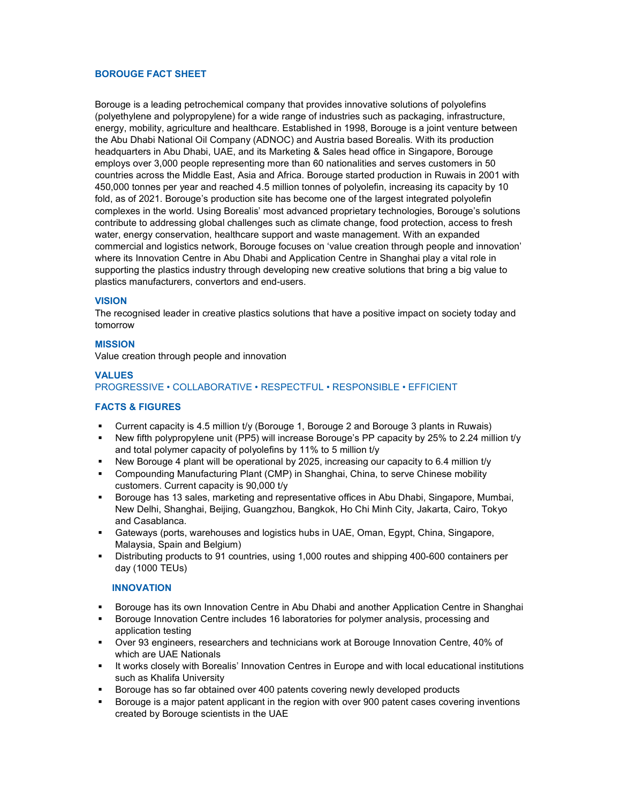## BOROUGE FACT SHEET

Borouge is a leading petrochemical company that provides innovative solutions of polyolefins (polyethylene and polypropylene) for a wide range of industries such as packaging, infrastructure, energy, mobility, agriculture and healthcare. Established in 1998, Borouge is a joint venture between the Abu Dhabi National Oil Company (ADNOC) and Austria based Borealis. With its production headquarters in Abu Dhabi, UAE, and its Marketing & Sales head office in Singapore, Borouge employs over 3,000 people representing more than 60 nationalities and serves customers in 50 countries across the Middle East, Asia and Africa. Borouge started production in Ruwais in 2001 with 450,000 tonnes per year and reached 4.5 million tonnes of polyolefin, increasing its capacity by 10 fold, as of 2021. Borouge's production site has become one of the largest integrated polyolefin complexes in the world. Using Borealis' most advanced proprietary technologies, Borouge's solutions contribute to addressing global challenges such as climate change, food protection, access to fresh water, energy conservation, healthcare support and waste management. With an expanded commercial and logistics network, Borouge focuses on 'value creation through people and innovation' where its Innovation Centre in Abu Dhabi and Application Centre in Shanghai play a vital role in supporting the plastics industry through developing new creative solutions that bring a big value to plastics manufacturers, convertors and end-users.

## VISION

The recognised leader in creative plastics solutions that have a positive impact on society today and tomorrow

## MISSION

Value creation through people and innovation

# VALUES PROGRESSIVE • COLLABORATIVE • RESPECTFUL • RESPONSIBLE • EFFICIENT

## FACTS & FIGURES

- Current capacity is 4.5 million t/y (Borouge 1, Borouge 2 and Borouge 3 plants in Ruwais)
- New fifth polypropylene unit (PP5) will increase Borouge's PP capacity by 25% to 2.24 million t/y and total polymer capacity of polyolefins by 11% to 5 million t/y
- New Borouge 4 plant will be operational by 2025, increasing our capacity to 6.4 million t/y
- Compounding Manufacturing Plant (CMP) in Shanghai, China, to serve Chinese mobility customers. Current capacity is 90,000 t/y
- Borouge has 13 sales, marketing and representative offices in Abu Dhabi, Singapore, Mumbai, New Delhi, Shanghai, Beijing, Guangzhou, Bangkok, Ho Chi Minh City, Jakarta, Cairo, Tokyo and Casablanca.
- Gateways (ports, warehouses and logistics hubs in UAE, Oman, Egypt, China, Singapore, Malaysia, Spain and Belgium)
- Distributing products to 91 countries, using 1,000 routes and shipping 400-600 containers per day (1000 TEUs)

## INNOVATION

- Borouge has its own Innovation Centre in Abu Dhabi and another Application Centre in Shanghai
- Borouge Innovation Centre includes 16 laboratories for polymer analysis, processing and application testing
- Over 93 engineers, researchers and technicians work at Borouge Innovation Centre, 40% of which are UAE Nationals
- It works closely with Borealis' Innovation Centres in Europe and with local educational institutions such as Khalifa University
- Borouge has so far obtained over 400 patents covering newly developed products
- Borouge is a major patent applicant in the region with over 900 patent cases covering inventions created by Borouge scientists in the UAE